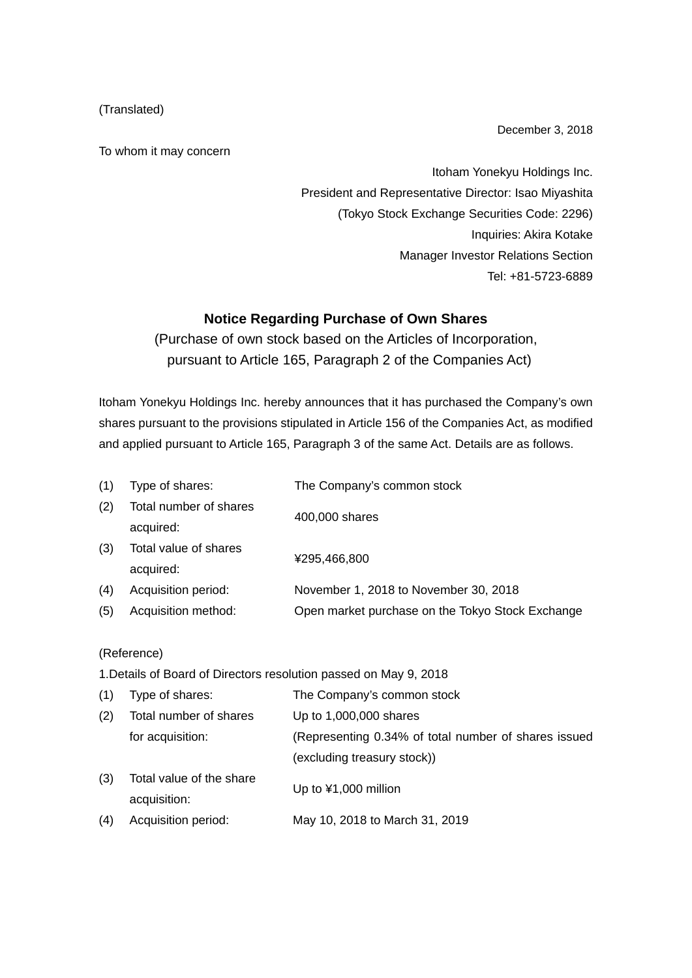## (Translated)

To whom it may concern

December 3, 2018

Itoham Yonekyu Holdings Inc. President and Representative Director: Isao Miyashita (Tokyo Stock Exchange Securities Code: 2296) Inquiries: Akira Kotake Manager Investor Relations Section Tel: +81-5723-6889

## **Notice Regarding Purchase of Own Shares**

(Purchase of own stock based on the Articles of Incorporation, pursuant to Article 165, Paragraph 2 of the Companies Act)

Itoham Yonekyu Holdings Inc. hereby announces that it has purchased the Company's own shares pursuant to the provisions stipulated in Article 156 of the Companies Act, as modified and applied pursuant to Article 165, Paragraph 3 of the same Act. Details are as follows.

| (1) | Type of shares:        | The Company's common stock                       |
|-----|------------------------|--------------------------------------------------|
| (2) | Total number of shares | 400,000 shares                                   |
|     | acquired:              |                                                  |
| (3) | Total value of shares  | ¥295,466,800                                     |
|     | acquired:              |                                                  |
| (4) | Acquisition period:    | November 1, 2018 to November 30, 2018            |
| (5) | Acquisition method:    | Open market purchase on the Tokyo Stock Exchange |

## (Reference)

1.Details of Board of Directors resolution passed on May 9, 2018

| Type of shares:                          | The Company's common stock                           |
|------------------------------------------|------------------------------------------------------|
| Total number of shares                   | Up to 1,000,000 shares                               |
| for acquisition:                         | (Representing 0.34% of total number of shares issued |
|                                          | (excluding treasury stock))                          |
| Total value of the share<br>acquisition: | Up to $¥1,000$ million                               |
| Acquisition period:                      | May 10, 2018 to March 31, 2019                       |
|                                          |                                                      |